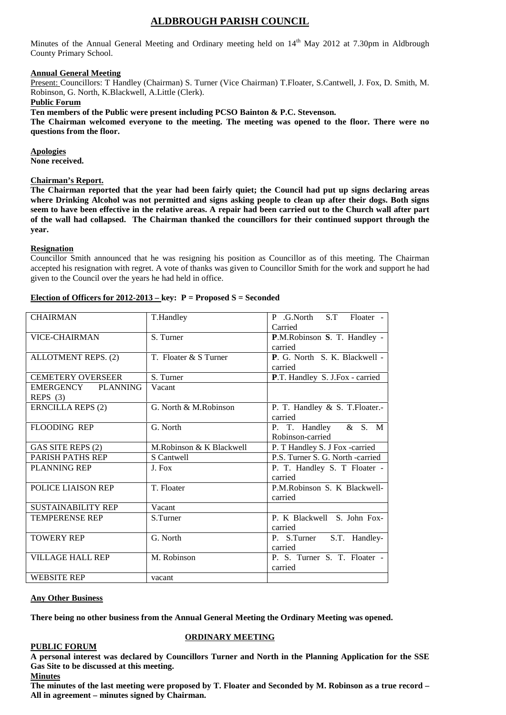# **ALDBROUGH PARISH COUNCIL**

Minutes of the Annual General Meeting and Ordinary meeting held on 14<sup>th</sup> May 2012 at 7.30pm in Aldbrough County Primary School.

# **Annual General Meeting**

Present: Councillors: T Handley (Chairman) S. Turner (Vice Chairman) T.Floater, S.Cantwell, J. Fox, D. Smith, M. Robinson, G. North, K.Blackwell, A.Little (Clerk).

# **Public Forum**

**Ten members of the Public were present including PCSO Bainton & P.C. Stevenson.**

**The Chairman welcomed everyone to the meeting. The meeting was opened to the floor. There were no questions from the floor.**

**Apologies**

**None received.**

# **Chairman's Report.**

**The Chairman reported that the year had been fairly quiet; the Council had put up signs declaring areas where Drinking Alcohol was not permitted and signs asking people to clean up after their dogs. Both signs seem to have been effective in the relative areas. A repair had been carried out to the Church wall after part of the wall had collapsed. The Chairman thanked the councillors for their continued support through the year.**

#### **Resignation**

Councillor Smith announced that he was resigning his position as Councillor as of this meeting. The Chairman accepted his resignation with regret. A vote of thanks was given to Councillor Smith for the work and support he had given to the Council over the years he had held in office.

# **Election of Officers for 2012-2013 – key: P = Proposed S = Seconded**

| <b>CHAIRMAN</b>            | T.Handley                | P .G.North S.T<br>Floater -      |
|----------------------------|--------------------------|----------------------------------|
|                            |                          | Carried                          |
| <b>VICE-CHAIRMAN</b>       | S. Turner                | P.M.Robinson S. T. Handley -     |
|                            |                          | carried                          |
| <b>ALLOTMENT REPS. (2)</b> | T. Floater & S Turner    | P. G. North S. K. Blackwell -    |
|                            |                          | carried                          |
| <b>CEMETERY OVERSEER</b>   | S. Turner                | P.T. Handley S. J.Fox - carried  |
| EMERGENCY PLANNING         | Vacant                   |                                  |
| REPS $(3)$                 |                          |                                  |
| <b>ERNCILLA REPS (2)</b>   | G. North & M.Robinson    | P. T. Handley & S. T. Floater.-  |
|                            |                          | carried                          |
| <b>FLOODING REP</b>        | G. North                 | P. T. Handley & S. M             |
|                            |                          | Robinson-carried                 |
| GAS SITE REPS (2)          | M.Robinson & K Blackwell | P. T Handley S. J Fox -carried   |
| <b>PARISH PATHS REP</b>    | S Cantwell               | P.S. Turner S. G. North -carried |
| <b>PLANNING REP</b>        | J. Fox                   | P. T. Handley S. T Floater -     |
|                            |                          | carried                          |
| POLICE LIAISON REP         | T. Floater               | P.M.Robinson S. K Blackwell-     |
|                            |                          | carried                          |
| <b>SUSTAINABILITY REP</b>  | Vacant                   |                                  |
| <b>TEMPERENSE REP</b>      | S.Turner                 | P. K Blackwell S. John Fox-      |
|                            |                          | carried                          |
| <b>TOWERY REP</b>          | G. North                 | S.T. Handley-<br>P. S.Turner     |
|                            |                          | carried                          |
| <b>VILLAGE HALL REP</b>    | M. Robinson              | P. S. Turner S. T. Floater -     |
|                            |                          | carried                          |
| <b>WEBSITE REP</b>         | vacant                   |                                  |
|                            |                          |                                  |

#### **Any Other Business**

**There being no other business from the Annual General Meeting the Ordinary Meeting was opened.**

#### **PUBLIC FORUM**

# **ORDINARY MEETING**

**A personal interest was declared by Councillors Turner and North in the Planning Application for the SSE Gas Site to be discussed at this meeting. Minutes**

**The minutes of the last meeting were proposed by T. Floater and Seconded by M. Robinson as a true record – All in agreement – minutes signed by Chairman.**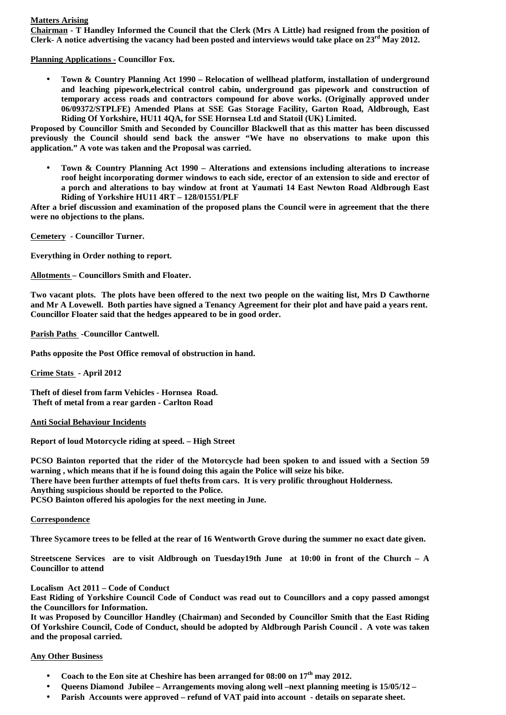# **Matters Arising**

**Chairman - T Handley Informed the Council that the Clerk (Mrs A Little) had resigned from the position of Clerk- A notice advertising the vacancy had been posted and interviews would take place on 23rd May 2012.**

**Planning Applications - Councillor Fox.**

 **Town & Country Planning Act 1990 – Relocation of wellhead platform, installation of underground and leaching pipework,electrical control cabin, underground gas pipework and construction of temporary access roads and contractors compound for above works. (Originally approved under 06/09372/STPLFE) Amended Plans at SSE Gas Storage Facility, Garton Road, Aldbrough, East Riding Of Yorkshire, HU11 4QA, for SSE Hornsea Ltd and Statoil (UK) Limited.**

**Proposed by Councillor Smith and Seconded by Councillor Blackwell that as this matter has been discussed previously the Council should send back the answer "We have no observations to make upon this application." A vote was taken and the Proposal was carried.**

 **Town & Country Planning Act 1990 – Alterations and extensions including alterations to increase roof height incorporating dormer windows to each side, erector of an extension to side and erector of a porch and alterations to bay window at front at Yaumati 14 East Newton Road Aldbrough East Riding of Yorkshire HU11 4RT – 128/01551/PLF**

**After a brief discussion and examination of the proposed plans the Council were in agreement that the there were no objections to the plans.**

**Cemetery - Councillor Turner.**

**Everything in Order nothing to report.**

**Allotments – Councillors Smith and Floater.**

**Two vacant plots. The plots have been offered to the next two people on the waiting list, Mrs D Cawthorne and Mr A Lovewell. Both parties have signed a Tenancy Agreement for their plot and have paid a years rent. Councillor Floater said that the hedges appeared to be in good order.**

**Parish Paths -Councillor Cantwell.**

**Paths opposite the Post Office removal of obstruction in hand.**

**Crime Stats - April 2012**

**Theft of diesel from farm Vehicles - Hornsea Road. Theft of metal from a rear garden - Carlton Road**

**Anti Social Behaviour Incidents**

**Report of loud Motorcycle riding at speed. – High Street**

**PCSO Bainton reported that the rider of the Motorcycle had been spoken to and issued with a Section 59 warning , which means that if he is found doing this again the Police will seize his bike. There have been further attempts of fuel thefts from cars. It is very prolific throughout Holderness. Anything suspicious should be reported to the Police. PCSO Bainton offered his apologies for the next meeting in June.**

# **Correspondence**

**Three Sycamore trees to be felled at the rear of 16 Wentworth Grove during the summer no exact date given.**

**Streetscene Services are to visit Aldbrough on Tuesday19th June at 10:00 in front of the Church – A Councillor to attend**

**Localism Act 2011 – Code of Conduct**

**East Riding of Yorkshire Council Code of Conduct was read out to Councillors and a copy passed amongst the Councillors for Information.**

**It was Proposed by Councillor Handley (Chairman) and Seconded by Councillor Smith that the East Riding Of Yorkshire Council, Code of Conduct, should be adopted by Aldbrough Parish Council . A vote was taken and the proposal carried.**

# **Any Other Business**

- **Coach to the Eon site at Cheshire has been arranged for 08:00 on 17th may 2012.**
- **Queens Diamond Jubilee – Arrangements moving along well –next planning meeting is 15/05/12 –**
- **Parish Accounts were approved – refund of VAT paid into account - details on separate sheet.**